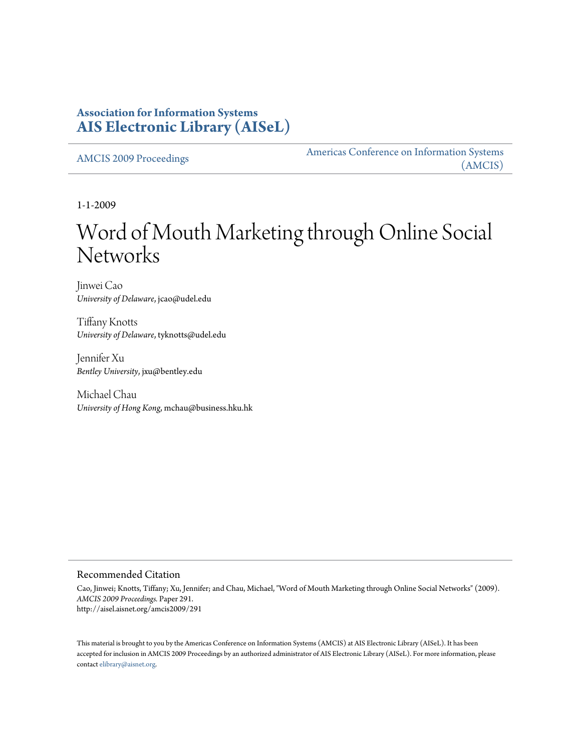### **Association for Information Systems [AIS Electronic Library \(AISeL\)](http://aisel.aisnet.org)**

[AMCIS 2009 Proceedings](http://aisel.aisnet.org/amcis2009) [Americas Conference on Information Systems](http://aisel.aisnet.org/amcis) [\(AMCIS\)](http://aisel.aisnet.org/amcis)

1-1-2009

# Word of Mouth Marketing through Online Social **Networks**

Jinwei Cao *University of Delaware*, jcao@udel.edu

Tiffany Knotts *University of Delaware*, tyknotts@udel.edu

Jennifer Xu *Bentley University*, jxu@bentley.edu

Michael Chau *University of Hong Kong*, mchau@business.hku.hk

#### Recommended Citation

Cao, Jinwei; Knotts, Tiffany; Xu, Jennifer; and Chau, Michael, "Word of Mouth Marketing through Online Social Networks" (2009). *AMCIS 2009 Proceedings.* Paper 291. http://aisel.aisnet.org/amcis2009/291

This material is brought to you by the Americas Conference on Information Systems (AMCIS) at AIS Electronic Library (AISeL). It has been accepted for inclusion in AMCIS 2009 Proceedings by an authorized administrator of AIS Electronic Library (AISeL). For more information, please contact [elibrary@aisnet.org.](mailto:elibrary@aisnet.org>)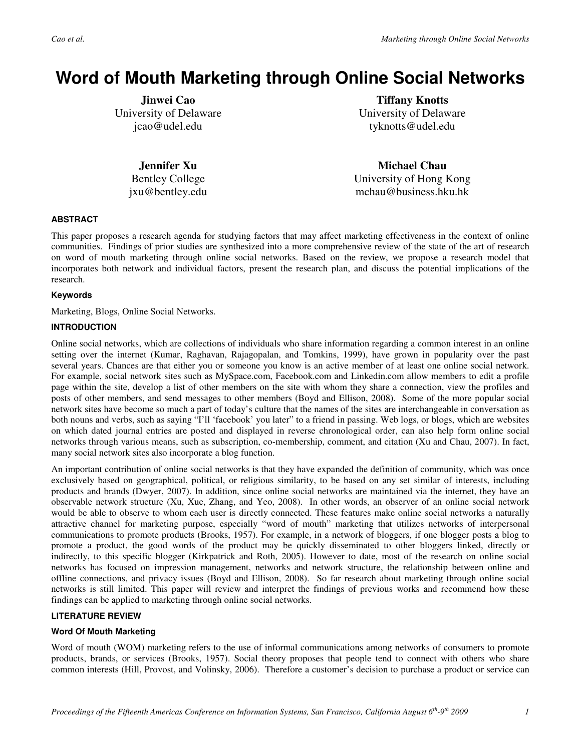## **Word of Mouth Marketing through Online Social Networks**

**Jinwei Cao**  University of Delaware jcao@udel.edu

**Tiffany Knotts**  University of Delaware tyknotts@udel.edu

**Jennifer Xu**  Bentley College jxu@bentley.edu

**Michael Chau**  University of Hong Kong mchau@business.hku.hk

#### **ABSTRACT**

This paper proposes a research agenda for studying factors that may affect marketing effectiveness in the context of online communities. Findings of prior studies are synthesized into a more comprehensive review of the state of the art of research on word of mouth marketing through online social networks. Based on the review, we propose a research model that incorporates both network and individual factors, present the research plan, and discuss the potential implications of the research.

#### **Keywords**

Marketing, Blogs, Online Social Networks.

#### **INTRODUCTION**

Online social networks, which are collections of individuals who share information regarding a common interest in an online setting over the internet (Kumar, Raghavan, Rajagopalan, and Tomkins, 1999), have grown in popularity over the past several years. Chances are that either you or someone you know is an active member of at least one online social network. For example, social network sites such as MySpace.com, Facebook.com and Linkedin.com allow members to edit a profile page within the site, develop a list of other members on the site with whom they share a connection, view the profiles and posts of other members, and send messages to other members (Boyd and Ellison, 2008). Some of the more popular social network sites have become so much a part of today's culture that the names of the sites are interchangeable in conversation as both nouns and verbs, such as saying "I'll 'facebook' you later" to a friend in passing. Web logs, or blogs, which are websites on which dated journal entries are posted and displayed in reverse chronological order, can also help form online social networks through various means, such as subscription, co-membership, comment, and citation (Xu and Chau, 2007). In fact, many social network sites also incorporate a blog function.

An important contribution of online social networks is that they have expanded the definition of community, which was once exclusively based on geographical, political, or religious similarity, to be based on any set similar of interests, including products and brands (Dwyer, 2007). In addition, since online social networks are maintained via the internet, they have an observable network structure (Xu, Xue, Zhang, and Yeo, 2008). In other words, an observer of an online social network would be able to observe to whom each user is directly connected. These features make online social networks a naturally attractive channel for marketing purpose, especially "word of mouth" marketing that utilizes networks of interpersonal communications to promote products (Brooks, 1957). For example, in a network of bloggers, if one blogger posts a blog to promote a product, the good words of the product may be quickly disseminated to other bloggers linked, directly or indirectly, to this specific blogger (Kirkpatrick and Roth, 2005). However to date, most of the research on online social networks has focused on impression management, networks and network structure, the relationship between online and offline connections, and privacy issues (Boyd and Ellison, 2008). So far research about marketing through online social networks is still limited. This paper will review and interpret the findings of previous works and recommend how these findings can be applied to marketing through online social networks.

#### **LITERATURE REVIEW**

#### **Word Of Mouth Marketing**

Word of mouth (WOM) marketing refers to the use of informal communications among networks of consumers to promote products, brands, or services (Brooks, 1957). Social theory proposes that people tend to connect with others who share common interests (Hill, Provost, and Volinsky, 2006). Therefore a customer's decision to purchase a product or service can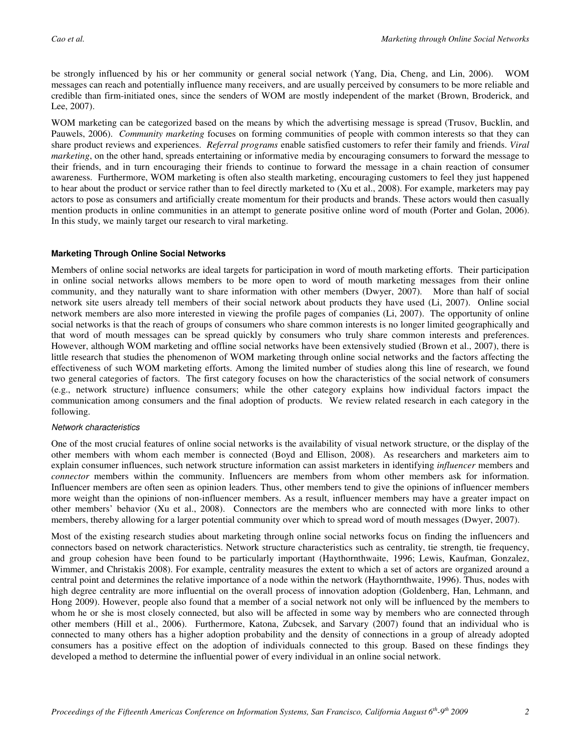be strongly influenced by his or her community or general social network (Yang, Dia, Cheng, and Lin, 2006). WOM messages can reach and potentially influence many receivers, and are usually perceived by consumers to be more reliable and credible than firm-initiated ones, since the senders of WOM are mostly independent of the market (Brown, Broderick, and Lee, 2007).

WOM marketing can be categorized based on the means by which the advertising message is spread (Trusov, Bucklin, and Pauwels, 2006). *Community marketing* focuses on forming communities of people with common interests so that they can share product reviews and experiences. *Referral programs* enable satisfied customers to refer their family and friends. *Viral marketing*, on the other hand, spreads entertaining or informative media by encouraging consumers to forward the message to their friends, and in turn encouraging their friends to continue to forward the message in a chain reaction of consumer awareness. Furthermore, WOM marketing is often also stealth marketing, encouraging customers to feel they just happened to hear about the product or service rather than to feel directly marketed to (Xu et al., 2008). For example, marketers may pay actors to pose as consumers and artificially create momentum for their products and brands. These actors would then casually mention products in online communities in an attempt to generate positive online word of mouth (Porter and Golan, 2006). In this study, we mainly target our research to viral marketing.

#### **Marketing Through Online Social Networks**

Members of online social networks are ideal targets for participation in word of mouth marketing efforts. Their participation in online social networks allows members to be more open to word of mouth marketing messages from their online community, and they naturally want to share information with other members (Dwyer, 2007). More than half of social network site users already tell members of their social network about products they have used (Li, 2007). Online social network members are also more interested in viewing the profile pages of companies (Li, 2007). The opportunity of online social networks is that the reach of groups of consumers who share common interests is no longer limited geographically and that word of mouth messages can be spread quickly by consumers who truly share common interests and preferences. However, although WOM marketing and offline social networks have been extensively studied (Brown et al., 2007), there is little research that studies the phenomenon of WOM marketing through online social networks and the factors affecting the effectiveness of such WOM marketing efforts. Among the limited number of studies along this line of research, we found two general categories of factors. The first category focuses on how the characteristics of the social network of consumers (e.g., network structure) influence consumers; while the other category explains how individual factors impact the communication among consumers and the final adoption of products. We review related research in each category in the following.

#### Network characteristics

One of the most crucial features of online social networks is the availability of visual network structure, or the display of the other members with whom each member is connected (Boyd and Ellison, 2008). As researchers and marketers aim to explain consumer influences, such network structure information can assist marketers in identifying *influencer* members and *connector* members within the community. Influencers are members from whom other members ask for information. Influencer members are often seen as opinion leaders. Thus, other members tend to give the opinions of influencer members more weight than the opinions of non-influencer members. As a result, influencer members may have a greater impact on other members' behavior (Xu et al., 2008). Connectors are the members who are connected with more links to other members, thereby allowing for a larger potential community over which to spread word of mouth messages (Dwyer, 2007).

Most of the existing research studies about marketing through online social networks focus on finding the influencers and connectors based on network characteristics. Network structure characteristics such as centrality, tie strength, tie frequency, and group cohesion have been found to be particularly important (Haythornthwaite, 1996; Lewis, Kaufman, Gonzalez, Wimmer, and Christakis 2008). For example, centrality measures the extent to which a set of actors are organized around a central point and determines the relative importance of a node within the network (Haythornthwaite, 1996). Thus, nodes with high degree centrality are more influential on the overall process of innovation adoption (Goldenberg, Han, Lehmann, and Hong 2009). However, people also found that a member of a social network not only will be influenced by the members to whom he or she is most closely connected, but also will be affected in some way by members who are connected through other members (Hill et al., 2006). Furthermore, Katona, Zubcsek, and Sarvary (2007) found that an individual who is connected to many others has a higher adoption probability and the density of connections in a group of already adopted consumers has a positive effect on the adoption of individuals connected to this group. Based on these findings they developed a method to determine the influential power of every individual in an online social network.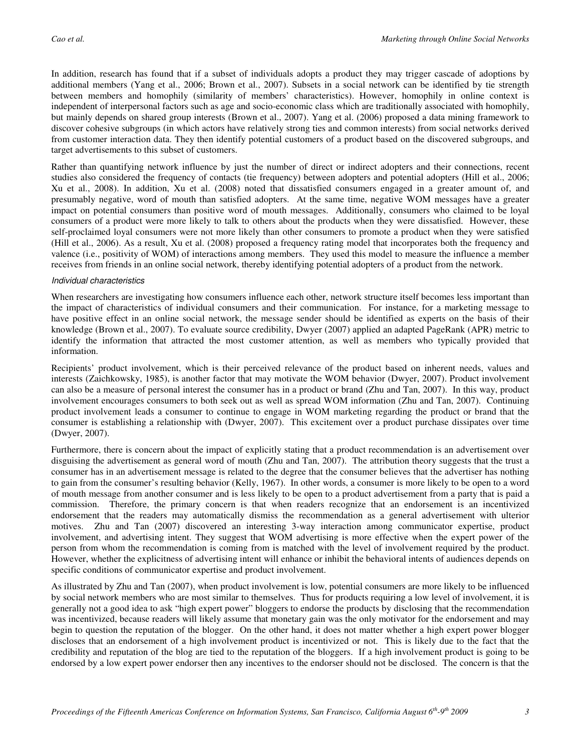In addition, research has found that if a subset of individuals adopts a product they may trigger cascade of adoptions by additional members (Yang et al., 2006; Brown et al., 2007). Subsets in a social network can be identified by tie strength between members and homophily (similarity of members' characteristics). However, homophily in online context is independent of interpersonal factors such as age and socio-economic class which are traditionally associated with homophily, but mainly depends on shared group interests (Brown et al., 2007). Yang et al. (2006) proposed a data mining framework to discover cohesive subgroups (in which actors have relatively strong ties and common interests) from social networks derived from customer interaction data. They then identify potential customers of a product based on the discovered subgroups, and target advertisements to this subset of customers.

Rather than quantifying network influence by just the number of direct or indirect adopters and their connections, recent studies also considered the frequency of contacts (tie frequency) between adopters and potential adopters (Hill et al., 2006; Xu et al., 2008). In addition, Xu et al. (2008) noted that dissatisfied consumers engaged in a greater amount of, and presumably negative, word of mouth than satisfied adopters. At the same time, negative WOM messages have a greater impact on potential consumers than positive word of mouth messages. Additionally, consumers who claimed to be loyal consumers of a product were more likely to talk to others about the products when they were dissatisfied. However, these self-proclaimed loyal consumers were not more likely than other consumers to promote a product when they were satisfied (Hill et al., 2006). As a result, Xu et al. (2008) proposed a frequency rating model that incorporates both the frequency and valence (i.e., positivity of WOM) of interactions among members. They used this model to measure the influence a member receives from friends in an online social network, thereby identifying potential adopters of a product from the network.

#### Individual characteristics

When researchers are investigating how consumers influence each other, network structure itself becomes less important than the impact of characteristics of individual consumers and their communication. For instance, for a marketing message to have positive effect in an online social network, the message sender should be identified as experts on the basis of their knowledge (Brown et al., 2007). To evaluate source credibility, Dwyer (2007) applied an adapted PageRank (APR) metric to identify the information that attracted the most customer attention, as well as members who typically provided that information.

Recipients' product involvement, which is their perceived relevance of the product based on inherent needs, values and interests (Zaichkowsky, 1985), is another factor that may motivate the WOM behavior (Dwyer, 2007). Product involvement can also be a measure of personal interest the consumer has in a product or brand (Zhu and Tan, 2007). In this way, product involvement encourages consumers to both seek out as well as spread WOM information (Zhu and Tan, 2007). Continuing product involvement leads a consumer to continue to engage in WOM marketing regarding the product or brand that the consumer is establishing a relationship with (Dwyer, 2007). This excitement over a product purchase dissipates over time (Dwyer, 2007).

Furthermore, there is concern about the impact of explicitly stating that a product recommendation is an advertisement over disguising the advertisement as general word of mouth (Zhu and Tan, 2007). The attribution theory suggests that the trust a consumer has in an advertisement message is related to the degree that the consumer believes that the advertiser has nothing to gain from the consumer's resulting behavior (Kelly, 1967). In other words, a consumer is more likely to be open to a word of mouth message from another consumer and is less likely to be open to a product advertisement from a party that is paid a commission. Therefore, the primary concern is that when readers recognize that an endorsement is an incentivized endorsement that the readers may automatically dismiss the recommendation as a general advertisement with ulterior motives. Zhu and Tan (2007) discovered an interesting 3-way interaction among communicator expertise, product involvement, and advertising intent. They suggest that WOM advertising is more effective when the expert power of the person from whom the recommendation is coming from is matched with the level of involvement required by the product. However, whether the explicitness of advertising intent will enhance or inhibit the behavioral intents of audiences depends on specific conditions of communicator expertise and product involvement.

As illustrated by Zhu and Tan (2007), when product involvement is low, potential consumers are more likely to be influenced by social network members who are most similar to themselves. Thus for products requiring a low level of involvement, it is generally not a good idea to ask "high expert power" bloggers to endorse the products by disclosing that the recommendation was incentivized, because readers will likely assume that monetary gain was the only motivator for the endorsement and may begin to question the reputation of the blogger. On the other hand, it does not matter whether a high expert power blogger discloses that an endorsement of a high involvement product is incentivized or not. This is likely due to the fact that the credibility and reputation of the blog are tied to the reputation of the bloggers. If a high involvement product is going to be endorsed by a low expert power endorser then any incentives to the endorser should not be disclosed. The concern is that the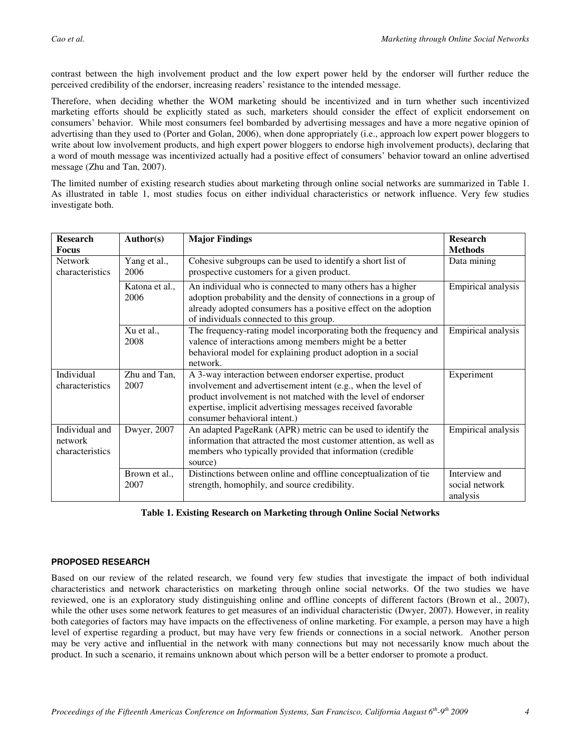contrast between the high involvement product and the low expert power held by the endorser will further reduce the perceived credibility of the endorser, increasing readers' resistance to the intended message.

Therefore, when deciding whether the WOM marketing should be incentivized and in turn whether such incentivized marketing efforts should be explicitly stated as such, marketers should consider the effect of explicit endorsement on consumers' behavior. While most consumers feel bombarded by advertising messages and have a more negative opinion of advertising than they used to (Porter and Golan, 2006), when done appropriately (i.e., approach low expert power bloggers to write about low involvement products, and high expert power bloggers to endorse high involvement products), declaring that a word of mouth message was incentivized actually had a positive effect of consumers' behavior toward an online advertised message (Zhu and Tan, 2007).

The limited number of existing research studies about marketing through online social networks are summarized in Table 1. As illustrated in table 1, most studies focus on either individual characteristics or network influence. Very few studies investigate both.

| <b>Research</b><br>Focus                     | Author(s)              | <b>Major Findings</b>                                                                                                                                                                                                                                                                    | <b>Research</b><br><b>Methods</b>           |
|----------------------------------------------|------------------------|------------------------------------------------------------------------------------------------------------------------------------------------------------------------------------------------------------------------------------------------------------------------------------------|---------------------------------------------|
| <b>Network</b><br>characteristics            | Yang et al.,<br>2006   | Cohesive subgroups can be used to identify a short list of<br>prospective customers for a given product.                                                                                                                                                                                 | Data mining                                 |
|                                              | Katona et al.,<br>2006 | An individual who is connected to many others has a higher<br>adoption probability and the density of connections in a group of<br>already adopted consumers has a positive effect on the adoption<br>of individuals connected to this group.                                            | Empirical analysis                          |
|                                              | Xu et al.,<br>2008     | The frequency-rating model incorporating both the frequency and<br>valence of interactions among members might be a better<br>behavioral model for explaining product adoption in a social<br>network.                                                                                   | Empirical analysis                          |
| Individual<br>characteristics                | Zhu and Tan,<br>2007   | A 3-way interaction between endorser expertise, product<br>involvement and advertisement intent (e.g., when the level of<br>product involvement is not matched with the level of endorser<br>expertise, implicit advertising messages received favorable<br>consumer behavioral intent.) | Experiment                                  |
| Individual and<br>network<br>characteristics | Dwyer, 2007            | An adapted PageRank (APR) metric can be used to identify the<br>information that attracted the most customer attention, as well as<br>members who typically provided that information (credible<br>source)                                                                               | Empirical analysis                          |
|                                              | Brown et al.,<br>2007  | Distinctions between online and offline conceptualization of tie<br>strength, homophily, and source credibility.                                                                                                                                                                         | Interview and<br>social network<br>analysis |

#### **Table 1. Existing Research on Marketing through Online Social Networks**

#### **PROPOSED RESEARCH**

Based on our review of the related research, we found very few studies that investigate the impact of both individual characteristics and network characteristics on marketing through online social networks. Of the two studies we have reviewed, one is an exploratory study distinguishing online and offline concepts of different factors (Brown et al., 2007), while the other uses some network features to get measures of an individual characteristic (Dwyer, 2007). However, in reality both categories of factors may have impacts on the effectiveness of online marketing. For example, a person may have a high level of expertise regarding a product, but may have very few friends or connections in a social network. Another person may be very active and influential in the network with many connections but may not necessarily know much about the product. In such a scenario, it remains unknown about which person will be a better endorser to promote a product.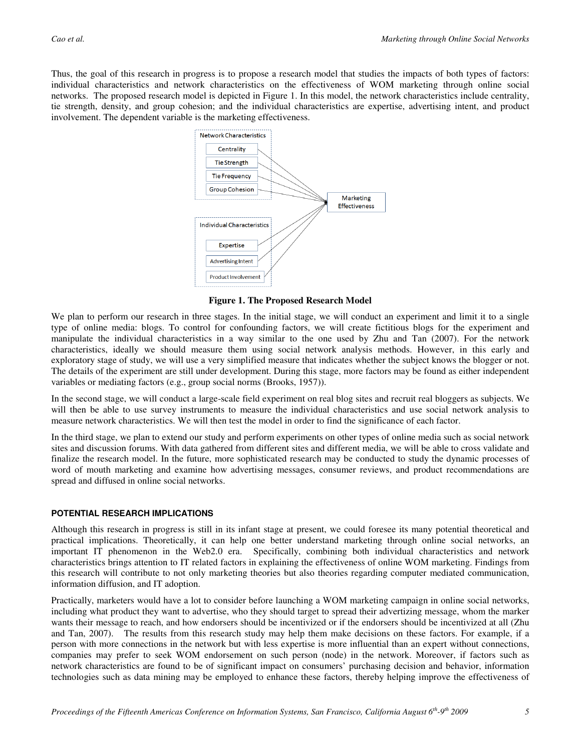Thus, the goal of this research in progress is to propose a research model that studies the impacts of both types of factors: individual characteristics and network characteristics on the effectiveness of WOM marketing through online social networks. The proposed research model is depicted in Figure 1. In this model, the network characteristics include centrality, tie strength, density, and group cohesion; and the individual characteristics are expertise, advertising intent, and product involvement. The dependent variable is the marketing effectiveness.



**Figure 1. The Proposed Research Model** 

We plan to perform our research in three stages. In the initial stage, we will conduct an experiment and limit it to a single type of online media: blogs. To control for confounding factors, we will create fictitious blogs for the experiment and manipulate the individual characteristics in a way similar to the one used by Zhu and Tan (2007). For the network characteristics, ideally we should measure them using social network analysis methods. However, in this early and exploratory stage of study, we will use a very simplified measure that indicates whether the subject knows the blogger or not. The details of the experiment are still under development. During this stage, more factors may be found as either independent variables or mediating factors (e.g., group social norms (Brooks, 1957)).

In the second stage, we will conduct a large-scale field experiment on real blog sites and recruit real bloggers as subjects. We will then be able to use survey instruments to measure the individual characteristics and use social network analysis to measure network characteristics. We will then test the model in order to find the significance of each factor.

In the third stage, we plan to extend our study and perform experiments on other types of online media such as social network sites and discussion forums. With data gathered from different sites and different media, we will be able to cross validate and finalize the research model. In the future, more sophisticated research may be conducted to study the dynamic processes of word of mouth marketing and examine how advertising messages, consumer reviews, and product recommendations are spread and diffused in online social networks.

#### **POTENTIAL RESEARCH IMPLICATIONS**

Although this research in progress is still in its infant stage at present, we could foresee its many potential theoretical and practical implications. Theoretically, it can help one better understand marketing through online social networks, an important IT phenomenon in the Web2.0 era. Specifically, combining both individual characteristics and network characteristics brings attention to IT related factors in explaining the effectiveness of online WOM marketing. Findings from this research will contribute to not only marketing theories but also theories regarding computer mediated communication, information diffusion, and IT adoption.

Practically, marketers would have a lot to consider before launching a WOM marketing campaign in online social networks, including what product they want to advertise, who they should target to spread their advertizing message, whom the marker wants their message to reach, and how endorsers should be incentivized or if the endorsers should be incentivized at all (Zhu and Tan, 2007). The results from this research study may help them make decisions on these factors. For example, if a person with more connections in the network but with less expertise is more influential than an expert without connections, companies may prefer to seek WOM endorsement on such person (node) in the network. Moreover, if factors such as network characteristics are found to be of significant impact on consumers' purchasing decision and behavior, information technologies such as data mining may be employed to enhance these factors, thereby helping improve the effectiveness of